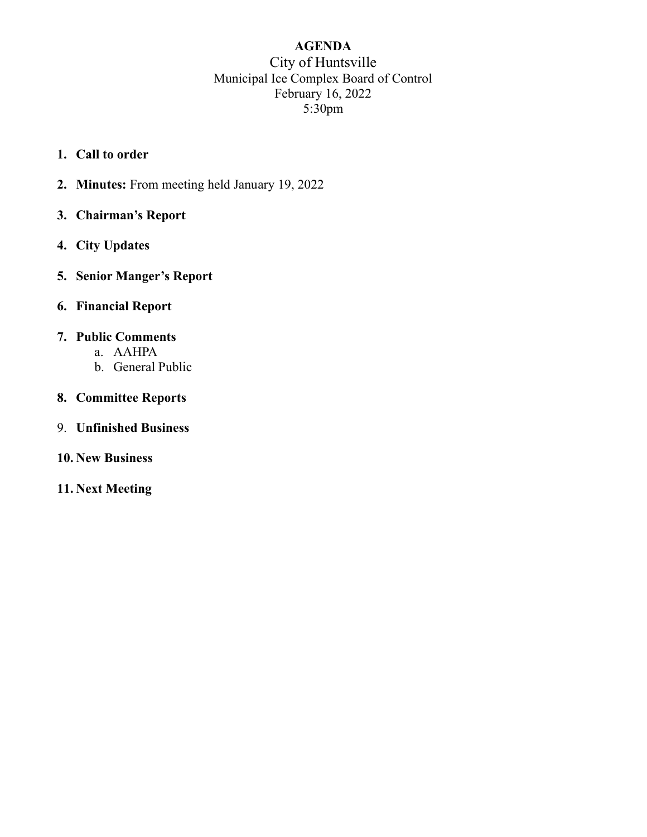# AGENDA City of Huntsville Municipal Ice Complex Board of Control February 16, 2022 5:30pm

- 1. Call to order
- 2. Minutes: From meeting held January 19, 2022
- 3. Chairman's Report
- 4. City Updates
- 5. Senior Manger's Report
- 6. Financial Report

#### 7. Public Comments

- a. AAHPA
- b. General Public
- 8. Committee Reports
- 9. Unfinished Business
- 10. New Business
- 11. Next Meeting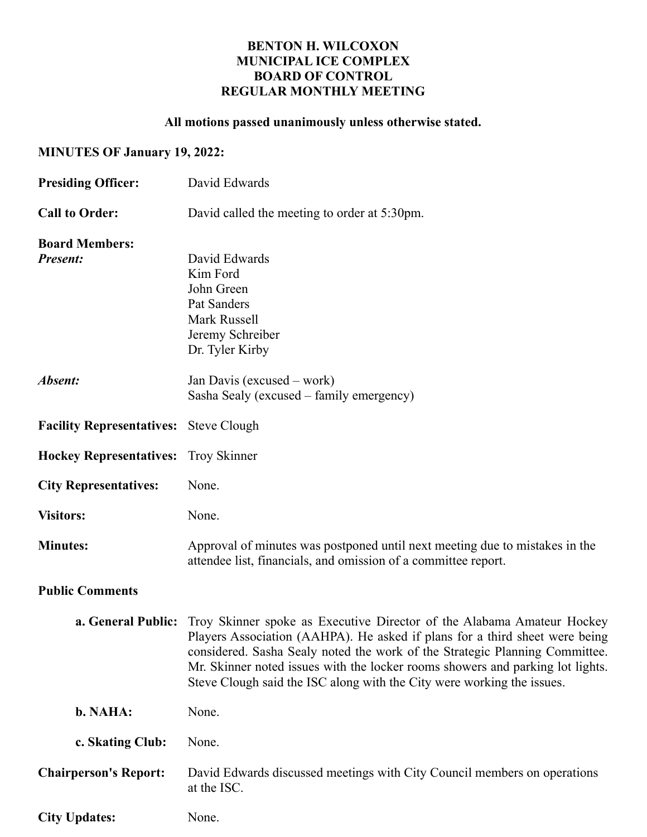## BENTON H. WILCOXON MUNICIPAL ICE COMPLEX BOARD OF CONTROL REGULAR MONTHLY MEETING

# All motions passed unanimously unless otherwise stated.

## MINUTES OF January 19, 2022:

| <b>Presiding Officer:</b>                | David Edwards                                                                                                                                                                                                                                                                                                                                                                                                              |  |
|------------------------------------------|----------------------------------------------------------------------------------------------------------------------------------------------------------------------------------------------------------------------------------------------------------------------------------------------------------------------------------------------------------------------------------------------------------------------------|--|
| <b>Call to Order:</b>                    | David called the meeting to order at 5:30pm.                                                                                                                                                                                                                                                                                                                                                                               |  |
| <b>Board Members:</b><br><b>Present:</b> | David Edwards<br>Kim Ford<br>John Green<br>Pat Sanders<br>Mark Russell<br>Jeremy Schreiber<br>Dr. Tyler Kirby                                                                                                                                                                                                                                                                                                              |  |
| Absent:                                  | Jan Davis (excused – work)<br>Sasha Sealy (excused – family emergency)                                                                                                                                                                                                                                                                                                                                                     |  |
| Facility Representatives: Steve Clough   |                                                                                                                                                                                                                                                                                                                                                                                                                            |  |
| <b>Hockey Representatives:</b>           | <b>Troy Skinner</b>                                                                                                                                                                                                                                                                                                                                                                                                        |  |
| <b>City Representatives:</b>             | None.                                                                                                                                                                                                                                                                                                                                                                                                                      |  |
| <b>Visitors:</b>                         | None.                                                                                                                                                                                                                                                                                                                                                                                                                      |  |
| <b>Minutes:</b>                          | Approval of minutes was postponed until next meeting due to mistakes in the<br>attendee list, financials, and omission of a committee report.                                                                                                                                                                                                                                                                              |  |
| <b>Public Comments</b>                   |                                                                                                                                                                                                                                                                                                                                                                                                                            |  |
|                                          | <b>a. General Public:</b> Troy Skinner spoke as Executive Director of the Alabama Amateur Hockey<br>Players Association (AAHPA). He asked if plans for a third sheet were being<br>considered. Sasha Sealy noted the work of the Strategic Planning Committee.<br>Mr. Skinner noted issues with the locker rooms showers and parking lot lights.<br>Steve Clough said the ISC along with the City were working the issues. |  |
| b. NAHA:                                 | None.                                                                                                                                                                                                                                                                                                                                                                                                                      |  |
| c. Skating Club:                         | None.                                                                                                                                                                                                                                                                                                                                                                                                                      |  |
| <b>Chairperson's Report:</b>             | David Edwards discussed meetings with City Council members on operations<br>at the ISC.                                                                                                                                                                                                                                                                                                                                    |  |
| <b>City Updates:</b>                     | None.                                                                                                                                                                                                                                                                                                                                                                                                                      |  |